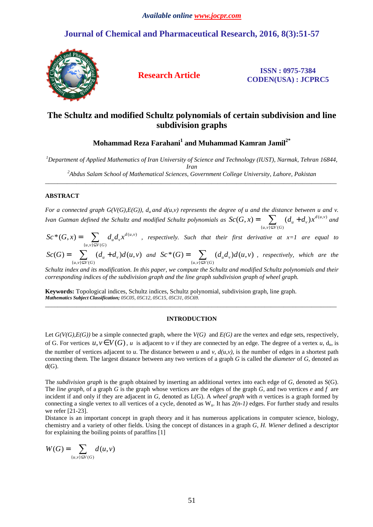## **Journal of Chemical and Pharmaceutical Research, 2016, 8(3):51-57**



**Research Article ISSN : 0975-7384 CODEN(USA) : JCPRC5**

# **The Schultz and modified Schultz polynomials of certain subdivision and line subdivision graphs**

**Mohammad Reza Farahani<sup>1</sup> and Muhammad Kamran Jamil2\*** 

*<sup>1</sup>Department of Applied Mathematics of Iran University of Science and Technology (IUST), Narmak, Tehran 16844, Iran* 

*<sup>2</sup>Abdus Salam School of Mathematical Sciences, Government College University, Lahore, Pakistan*  \_\_\_\_\_\_\_\_\_\_\_\_\_\_\_\_\_\_\_\_\_\_\_\_\_\_\_\_\_\_\_\_\_\_\_\_\_\_\_\_\_\_\_\_\_\_\_\_\_\_\_\_\_\_\_\_\_\_\_\_\_\_\_\_\_\_\_\_\_\_\_\_\_\_\_\_\_\_\_\_\_\_\_\_\_\_\_\_\_\_\_\_\_

## **ABSTRACT**

*For a connected graph G(V(G),E(G)),*  $d_u$  *and*  $d(u, v)$  *represents the degree of u and the distance between u and v. Ivan Gutman defined the Schultz and modified Schultz polynomials as*  $Sc(G, x) = \sum (d_u + d_v) x^{d(u,v)}$  ${u,v}\subseteq V(G)$  $(G, x) = \sum (d_u + d_v) x^{d(u, v)}$  $u, v \leq V(G)$  $Sc(G, x) = \sum_{u} (d_u + d_v)x$ ⊆  $= \sum_{u} (d_u + d_v) x^{d(u,v)}$  and

 $(u, v)$  ${u,v}\subseteq V(G)$ \* $(G, x) = \sum d_u d_v x^{d(u,v)}$  $u, v \leq V(G)$  $Sc^*(G, x) = \sum d_u d_v x$ ⊆  $=\sum_{n=0}^{\infty}d_{u}d_{v}x^{d(u,v)}$  , respectively. Such that their first derivative at x=1 are equal to

 ${u,v}\subseteq V(G)$  $(G) = \sum (d_u + d_v)d(u, v)$  $u, v \leq V(G)$  $Sc(G) = \sum_{u} (d_u + d_v)d(u, v)$ ⊆  $= \sum (d_u + d_v)d(u, v)$  and  ${u,v}\subseteq V(G)$ \* $(G) = \sum (d_u d_v) d(u, v)$  $u, v \leq V(G)$  $Sc^*(G) = \sum_{u} (d_u d_v) d(u,v)$ ⊆  $=\sum (d_u d_v) d(u,v)$  , respectively, which are the

*Schultz index and its modification. In this paper, we compute the Schultz and modified Schultz polynomials and their corresponding indices of the subdivision graph and the line graph subdivision graph of wheel graph.*

**Keywords:** Topological indices, Schultz indices, Schultz polynomial, subdivision graph, line graph. *Mathematics Subject Classification; 05C05, 05C12, 05C15, 05C31, 05C69.*  \_\_\_\_\_\_\_\_\_\_\_\_\_\_\_\_\_\_\_\_\_\_\_\_\_\_\_\_\_\_\_\_\_\_\_\_\_\_\_\_\_\_\_\_\_\_\_\_\_\_\_\_\_\_\_\_\_\_\_\_\_\_\_\_\_\_\_\_\_\_\_\_\_\_\_\_\_\_\_\_\_\_\_\_\_\_\_\_\_\_\_\_\_

### **INTRODUCTION**

Let  $G(V(G), E(G))$  be a simple connected graph, where the  $V(G)$  and  $E(G)$  are the vertex and edge sets, respectively, of G. For vertices  $u, v \in V(G)$ , *u* is adjacent to *v* if they are connected by an edge. The degree of a vertex *u*, d<sub>u</sub>, is the number of vertices adjacent to *u*. The distance between *u* and *v*,  $d(u, v)$ , is the number of edges in a shortest path connecting them. The largest distance between any two vertices of a graph *G* is called the *diameter* of *G,* denoted as  $d(G)$ .

The *subdivision graph* is the graph obtained by inserting an additional vertex into each edge of *G*, denoted as S(G). The *line graph,* of a graph *G* is the graph whose vertices are the edges of the graph *G,* and two vertices *e* and *f* are incident if and only if they are adjacent in *G,* denoted as L(G). A *wheel graph* with *n* vertices is a graph formed by connecting a single vertex to all vertices of a cycle, denoted as  $W_n$ . It has  $2(n-1)$  edges. For further study and results we refer [21-23].

Distance is an important concept in graph theory and it has numerous applications in computer science, biology, chemistry and a variety of other fields. Using the concept of distances in a graph *G*, *H. Wiener* defined a descriptor for explaining the boiling points of paraffins [1]

$$
W(G) = \sum_{\{u,v\} \subseteq V(G)} d(u,v)
$$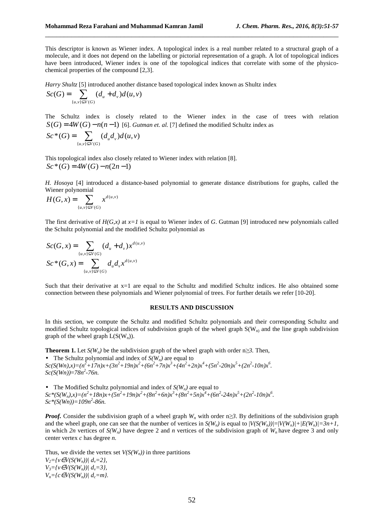This descriptor is known as Wiener index. A topological index is a real number related to a structural graph of a molecule, and it does not depend on the labelling or pictorial representation of a graph. A lot of topological indices have been introduced, Wiener index is one of the topological indices that correlate with some of the physicochemical properties of the compound [2,3].

\_\_\_\_\_\_\_\_\_\_\_\_\_\_\_\_\_\_\_\_\_\_\_\_\_\_\_\_\_\_\_\_\_\_\_\_\_\_\_\_\_\_\_\_\_\_\_\_\_\_\_\_\_\_\_\_\_\_\_\_\_\_\_\_\_\_\_\_\_\_\_\_\_\_\_\_\_\_

*Harry Shultz* [5] introduced another distance based topological index known as Shultz index  $\sum_{i=1}^n (L_i - L_i) L_i$ 

$$
Sc(G) = \sum_{\{u,v\} \subseteq V(G)} (d_u + d_v) d(u,v)
$$

The Schultz index is closely related to the Wiener index in the case of trees with relation  $S(G) = 4W(G) - n(n-1)$  [6]. *Gutman et. al.* [7] defined the modified Schultz index as

$$
Sc^*(G) = \sum_{\{u,v\} \subseteq V(G)} (d_u d_v) d(u, v)
$$

This topological index also closely related to Wiener index with relation [8].  $Sc^*(G) = 4W(G) - n(2n-1)$ 

*H. Hosoya* [4] introduced a distance-based polynomial to generate distance distributions for graphs, called the Wiener polynomial

$$
H(G, x) = \sum_{\{u, v\} \subseteq V(G)} x^{d(u, v)}
$$

The first derivative of  $H(G, x)$  at  $x=1$  is equal to Wiener index of G. Gutman [9] introduced new polynomials called the Schultz polynomial and the modified Schultz polynomial as

$$
Sc(G, x) = \sum_{\{u,v\} \subseteq V(G)} (d_u + d_v) x^{d(u,v)}
$$

$$
Sc^*(G, x) = \sum_{\{u,v\} \subseteq V(G)} d_u d_v x^{d(u,v)}
$$

Such that their derivative at  $x=1$  are equal to the Schultz and modified Schultz indices. He also obtained some connection between these polynomials and Wiener polynomial of trees. For further details we refer [10-20].

### **RESULTS AND DISCUSSION**

In this section, we compute the Schultz and modified Schultz polynomials and their corresponding Schultz and modified Schultz topological indices of subdivision graph of the wheel graph  $S(W_n)$  and the line graph subdivision graph of the wheel graph  $L(S(W_n))$ .

**Theorem 1.** Let  $S(W_n)$  be the subdivision graph of the wheel graph with order n $\geq$ 3. Then, • The Schultz polynomial and index of  $S(W_n)$  are equal to  $Sc(S(Wh),x)=(n^2+17n)x+(3n^2+19n)x^2+(6n^2+7n)x^3+(4n^2+2n)x^4+(5n^2-20n)x^5+(2n^2-10n)x^6.$ *Sc(S(Wn))*=*78n<sup>2</sup> -76n.* 

• The Modified Schultz polynomial and index of  $S(W_n)$  are equal to  $Sc*(S(W_n),x)=(n^2+18n)x+(5n^2+19n)x^2+(8n^2+6n)x^3+(8n^2+5n)x^4+(6n^2-24n)x^5+(2n^2-10n)x^6.$ *Sc\*(S(Wn))=109n<sup>2</sup> -86n.* 

*Proof.* Consider the subdivision graph of a wheel graph  $W_n$  with order n $\geq$ *3*. By definitions of the subdivision graph and the wheel graph, one can see that the number of vertices in  $S(W_n)$  is equal to  $|V(S(W_n))| = |V(W_n)| + |E(W_n)| = 3n+1$ , in which 2n vertices of  $S(W_n)$  have degree 2 and *n* vertices of the subdivision graph of  $W_n$  have degree 3 and only center vertex *c* has degree *n.* 

Thus, we divide the vertex set  $V(S(W_n))$  in three partitions

 $V_2 = \{v \in V(S(W_n)) | d_v = 2\},\$ *V3={v*∈*V(S(Wn))| dv=3},*  $V_n = \{c \in V(S(W_n)) \mid d_c = m\}.$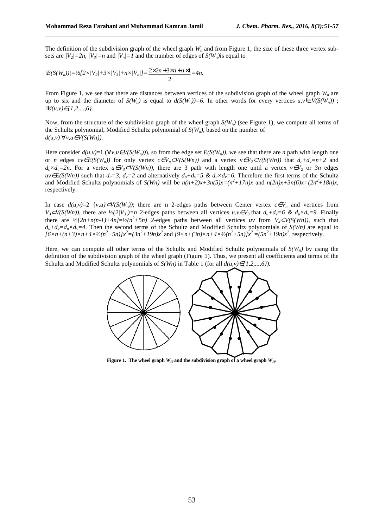The definition of the subdivision graph of the wheel graph  $W_n$  and from Figure 1, the size of these three vertex subsets are  $|V_2|=2n$ ,  $|V_3|=n$  and  $|V_n|=1$  and the number of edges of  $S(W_n)$  is equal to

\_\_\_\_\_\_\_\_\_\_\_\_\_\_\_\_\_\_\_\_\_\_\_\_\_\_\_\_\_\_\_\_\_\_\_\_\_\_\_\_\_\_\_\_\_\_\_\_\_\_\_\_\_\_\_\_\_\_\_\_\_\_\_\_\_\_\_\_\_\_\_\_\_\_\_\_\_\_

$$
|E(S(W_n))|=1/2[2 \times |V_2|+3 \times |V_3|+n \times |V_n|]=\frac{2 \times 2n+3 \times n+n \times 1}{2}=4n.
$$

From Figure 1, we see that there are distances between vertices of the subdivision graph of the wheel graph *W<sup>n</sup>* are up to six and the diameter of  $S(W_n)$  is equal to  $d(S(W_n))=6$ . In other words for every vertices  $u, v \in V(S(W_n))$ ; ∃*d(u,v)*∈*{1,2,...,6}*.

Now, from the structure of the subdivision graph of the wheel graph  $S(W_n)$  (see Figure 1), we compute all terms of the Schultz polynomial, Modified Schultz polynomial of *S(Wn)*, based on the number of *d(u,v)* ∀*v,u*∈*V(S(Wn)).*

Here consider  $d(u, v) = 1 \ (\forall v, u \in V(S(W_n)))$ , so from the edge set  $E(S(W_n))$ , we see that there are *n* path with length one or *n* edges  $cv \in E(S(W_n))$  for only vertex  $c \in V_n \subset V(S(W_n))$  and a vertex  $v \in V_2 \subset V(S(W_n))$  that  $d_c + d_v = n+2$  and  $d_c \times d_v = 2n$ . For a vertex  $u \in V_3 \subset V(S(Wn))$ , there are 3 path with length one until a vertex  $v \in V_2$  or 3n edges  $uv \in E(S(Wh))$  such that  $d_u = 3$ ,  $d_v = 2$  and alternatively  $d_u + d_v = 5$  &  $d_u \times d_v = 6$ . Therefore the first terms of the Schultz and Modified Schultz polynomials of  $S(Wn)$  will be  $n(n+2)x+3n(5)x=(n^2+17n)x$  and  $n(2n)x+3n(6)x=(2n^2+18n)x$ , respectively.

In case  $d(u, v)=2$  { $v, u\} \subset V(S(W_n))$ ; there are n 2-edges paths between Center vertex  $c \in V_n$  and vertices from  $V_3CV(S(Wh))$ , there are  $\frac{1}{2}(2/V_3)/=n$  2-edges paths between all vertices  $u, v \in V_3$  that  $d_u + d_v = 6$  &  $d_u \times d_v = 9$ . Finally there are  $\frac{1}{2}[2n+n(n-1)+4n]=\frac{1}{2}(n^2+5n)$  2-edges paths between all vertices *uv* from  $V_2\subset V(S(Wn))$ , such that  $d_u + d_v = d_u \times d_v = 4$ . Then the second terms of the Schultz and Modified Schultz polynomials of *S(Wn)* are equal to  $[6 \times n + (n+3) \times n + 4 \times \frac{1}{2}(n^2+5n)]x^2 = (3n^2+19n)x^2$  and  $[9 \times n + (3n) \times n + 4 \times \frac{1}{2}(n^2+5n)]x^2 = (5n^2+19n)x^2$ , respectively.

Here, we can compute all other terms of the Schultz and Modified Schultz polynomials of  $S(W_n)$  by using the definition of the subdivision graph of the wheel graph (Figure 1). Thus, we present all coefficients and terms of the Schultz and Modified Schultz polynomials of *S(Wn)* in Table 1 (for all *d(u,v)*∈*{1,2,...,6}).*



**Figure 1.** The wheel graph  $W_{16}$  and the subdivision graph of a wheel graph  $W_{16}$ .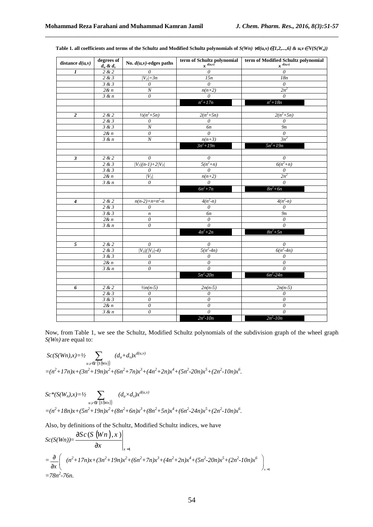| distance $d(u, v)$ | degrees of<br>$d_u \& d_v$ | No. $d(u, v)$ -edges paths | term of Schultz polynomial<br>$x^{d(u,v)}$ | term of Modified Schultz polynomial<br>$x^{d(u,v)}$ |
|--------------------|----------------------------|----------------------------|--------------------------------------------|-----------------------------------------------------|
| $\boldsymbol{l}$   | 2 & 2                      | $\theta$                   | 0                                          | $\theta$                                            |
|                    | 2 & 3                      | $ V_2 =3n$                 | 15n                                        | 18n                                                 |
|                    | 3 & 3                      | $\theta$                   | $\theta$                                   | 0                                                   |
|                    | 2 & n                      | $\cal N$                   | $n(n+2)$                                   | $2n^2$                                              |
|                    | 3 & n                      | $\theta$                   | $\theta$                                   | $\theta$                                            |
|                    |                            |                            | $n^2 + 17n$                                | $n^2 + 18n$                                         |
|                    |                            |                            |                                            |                                                     |
| $\overline{c}$     | 2 & 2                      | $\frac{1}{2}(n^2+5n)$      | $2(n^2+5n)$                                | $2(n^2+5n)$                                         |
|                    | 2 & 3                      | $\theta$                   | $\theta$                                   | $\boldsymbol{\theta}$                               |
|                    | 3 & 3                      | $\cal N$                   | 6n                                         | 9n                                                  |
|                    | 2 & n                      | $\theta$                   | $\theta$                                   | $\theta$                                            |
|                    | 3 & n                      | $\cal N$                   | $n(n+3)$                                   | $3n^2$                                              |
|                    |                            |                            | $3n^2 + 19n$                               | $5n^2 + 19n$                                        |
|                    |                            |                            |                                            |                                                     |
| $\mathfrak z$      | 2 & 2                      | $\theta$                   | $\overline{\theta}$                        | $\theta$                                            |
|                    | 2 & 3                      | $ V_3/(n-1)+2/V_3 $        | $5(n^2+n)$                                 | $6(n^2+n)$                                          |
|                    | 3 & 3                      | 0                          | $\theta$                                   | $\theta$                                            |
|                    | 2& n                       | $ V_3 $                    | $n(n+2)$                                   | $2n^2$                                              |
|                    | 3 & n                      | $\theta$                   | $\overline{\theta}$                        | $\overline{\theta}$                                 |
|                    |                            |                            | $6n^2 + 7n$                                | $8n^2+6n$                                           |
|                    |                            |                            |                                            |                                                     |
| $\overline{4}$     | 2 & 2                      | $n(n-2)+n=n^2-n$           | $4(n^2-n)$                                 | $4(n^2-n)$                                          |
|                    | 2 & 3                      | $\theta$                   | $\theta$                                   | $\theta$                                            |
|                    | 3 & 3                      | $\boldsymbol{n}$           | 6 <sub>n</sub>                             | 9n                                                  |
|                    | 2& n                       | $\boldsymbol{\mathit{0}}$  | $\theta$                                   | $\boldsymbol{\theta}$                               |
|                    | 3 & n                      | $\boldsymbol{\mathit{0}}$  | $\overline{\theta}$                        | $\overline{\theta}$                                 |
|                    |                            |                            | $4n^2 + 2n$                                | $8n^2+5n$                                           |
|                    |                            |                            |                                            |                                                     |
| 5                  | 2 & 2                      | $\boldsymbol{\theta}$      | $\boldsymbol{\theta}$                      | $\boldsymbol{\theta}$                               |
|                    | 2 & 3                      | $ V_3 $ ( $ V_3 $ -4)      | $5(n^2-4n)$                                | $6(n^2-4n)$                                         |
|                    | 3 & 3                      | $\theta$                   | $\overline{0}$                             | $\overline{\theta}$                                 |
|                    | 2& n                       | $\theta$                   | 0                                          | $\theta$                                            |
|                    | 3 & n                      | $\theta$                   | $\overline{\theta}$                        | $\theta$                                            |
|                    |                            |                            | $5n^2 - 20n$                               | $6n^2 - 24n$                                        |
|                    |                            |                            |                                            |                                                     |
| 6                  | 2 & 2                      | $\frac{1}{2}n(n-5)$        | $2n(n-5)$                                  | $2n(n-5)$                                           |
|                    | 2 & 3                      | $\theta$                   | $\boldsymbol{\mathit{0}}$                  | $\boldsymbol{\theta}$                               |
|                    | 3 & 3                      | $\theta$                   | $\overline{\theta}$                        | $\overline{\theta}$                                 |
|                    | 2 & n                      | $\boldsymbol{\mathit{0}}$  | $\overline{\theta}$                        | $\theta$                                            |
|                    | 3 & n                      | $\theta$                   | $\boldsymbol{\theta}$                      | $\theta$                                            |
|                    |                            |                            | $2n^2 - 10n$                               | $2n^2 - 10n$                                        |

Table 1. all coefficients and terms of the Schultz and Modified Schultz polynomials of  $S(Wn)$   $\forall d(u,v) \in \{1,2,...,6\}$  &  $u,v \in V(S(W_n))$ 

\_\_\_\_\_\_\_\_\_\_\_\_\_\_\_\_\_\_\_\_\_\_\_\_\_\_\_\_\_\_\_\_\_\_\_\_\_\_\_\_\_\_\_\_\_\_\_\_\_\_\_\_\_\_\_\_\_\_\_\_\_\_\_\_\_\_\_\_\_\_\_\_\_\_\_\_\_\_

Now, from Table 1, we see the Schultz, Modified Schultz polynomials of the subdivision graph of the wheel graph *S(Wn)* are equal to:

$$
Sc(S(Wn),x)=\frac{1}{2}\sum_{u,v\in V(S(Wn))}(d_u+d_v)x^{d(u,v)}
$$
  
= $(n^2+17n)x+(3n^2+19n)x^2+(6n^2+7n)x^3+(4n^2+2n)x^4+(5n^2-20n)x^5+(2n^2-10n)x^6.$ 

*Sc\*(S(Wn),x)=½*  $u, v \in V(S(Wn))$  $\sum$   $(d_u \times d_v) x^{d(u,v)}$  $=(n^2+18n)x+(5n^2+19n)x^2+(8n^2+6n)x^3+(8n^2+5n)x^4+(6n^2-24n)x^5+(2n^2-10n)x^6.$ 

Also, by definitions of the Schultz, Modified Schultz indices, we have

$$
Sc(S(Wn)) = \frac{\partial Sc(S(Wn), x)}{\partial x}\Big|_{x=1}
$$
  
=  $\frac{\partial}{\partial x}\Biggl( (n^2 + 17n)x + (3n^2 + 19n)x^2 + (6n^2 + 7n)x^3 + (4n^2 + 2n)x^4 + (5n^2 - 20n)x^5 + (2n^2 - 10n)x^6 \Biggr)_{x=1}$   
= 78n<sup>2</sup>-76n.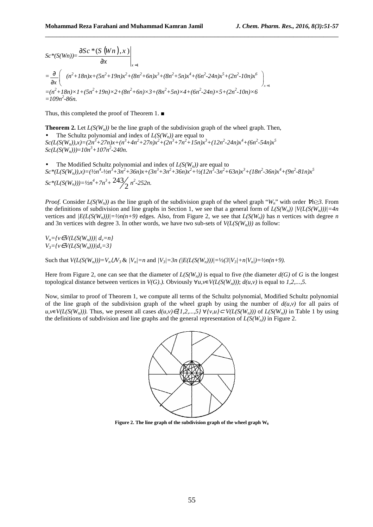$$
Sc^*(S(Wn)) = \frac{\partial Sc^*(S(Wn), x)}{\partial x}\Big|_{x=1}
$$
  
=  $\frac{\partial}{\partial x}\Biggl( (n^2 + 18n)x + (5n^2 + 19n)x^2 + (8n^2 + 6n)x^3 + (8n^2 + 5n)x^4 + (6n^2 - 24n)x^5 + (2n^2 - 10n)x^6 \Biggr)_{x=1}$   
=  $(n^2 + 18n)x1 + (5n^2 + 19n)x2 + (8n^2 + 6n)x3 + (8n^2 + 5n)x4 + (6n^2 - 24n)x5 + (2n^2 - 10n)x6 \Biggr)$   
=  $109n^2-86n$ .

Thus, this completed the proof of Theorem 1. ■

**Theorem 2.** Let  $L(S(W_n))$  be the line graph of the subdivision graph of the wheel graph. Then, The Schultz polynomial and index of  $L(S(W_n))$  are equal to  $Sc(L(S(W_n)),x)=(2n^3+27n)x+(n^3+4n^2+27n)x^2+(2n^3+7n^2+15n)x^3+(12n^2-24n)x^4+(6n^2-54n)x^5$  $Sc(L(S(W_n)))=10n^3+107n^2-240n$ .

• The Modified Schultz polynomial and index of  $L(S(W_n))$  are equal to  $Sc*(L(S(W_n)),x)=(1/n^4-12n^3+3n^2+36n)x+(3n^3+3n^2+36n)x^2+1/2(12n^5-3n^2+63n)x^3+(18n^2-36n)x^4+(9n^2-81n)x^5$ *Sc\**(*L*(*S*(*W<sub>n</sub>*)))= $\frac{1}{2}n^4 + 7n^3 + \frac{243}{2}n^2 - 252n$ .

*Proof.* Consider  $L(S(W_n))$  as the line graph of the subdivision graph of the wheel graph " $W_n$ " with order  $\forall n \geq 3$ . From the definitions of subdivision and line graphs in Section 1, we see that a general form of  $L(S(W_n))/V(L(S(W_n)))=4n$ vertices and  $|E(L(S(W_n)))| = \frac{1}{2n(n+9)}$  edges. Also, from Figure 2, we see that  $L(S(W_n))$  has *n* vertices with degree *n* and 3n vertices with degree 3. In other words, we have two sub-sets of *V(L(S(Wn)))* as follow:

\_\_\_\_\_\_\_\_\_\_\_\_\_\_\_\_\_\_\_\_\_\_\_\_\_\_\_\_\_\_\_\_\_\_\_\_\_\_\_\_\_\_\_\_\_\_\_\_\_\_\_\_\_\_\_\_\_\_\_\_\_\_\_\_\_\_\_\_\_\_\_\_\_\_\_\_\_\_

 $V_n = \{v \in V(L(S(W_n))) \mid d_v = n\}$ *V3={v*∈*V(L(S(Wn)))|dv=3}* 

Such that  $V(L(S(W_n)))=V_n LV_3 \& (V_n)=n$  and  $|V_3|=3n (|E(L(S(W_n)))|=|V_2(S|V_3)+n|V_n|=|V_2(n+9)|$ .

Here from Figure 2, one can see that the diameter of  $L(S(W_n))$  is equal to five *(*the diameter  $d(G)$  of *G* is the longest topological distance between vertices in  $V(G)$ .). Obviously  $\forall u, v \in V(L(S(W_n)))$ ;  $d(u, v)$  is equal to 1,2,...,5.

Now, similar to proof of Theorem 1, we compute all terms of the Schultz polynomial, Modified Schultz polynomial of the line graph of the subdivision graph of the wheel graph by using the number of  $d(u, v)$  for all pairs of *u,v*∈*V*(*L*(*S*(*W<sub>n</sub>*))). Thus, we present all cases  $d(u,v) \in \{1,2,...,5\}$  ∀ $\{v,u\} \subset V(L(S(W_n)))$  of  $L(S(W_n))$  in Table 1 by using the definitions of subdivision and line graphs and the general representation of *L(S(Wn))* in Figure 2.



**Figure 2. The line graph of the subdivision graph of the wheel graph W8**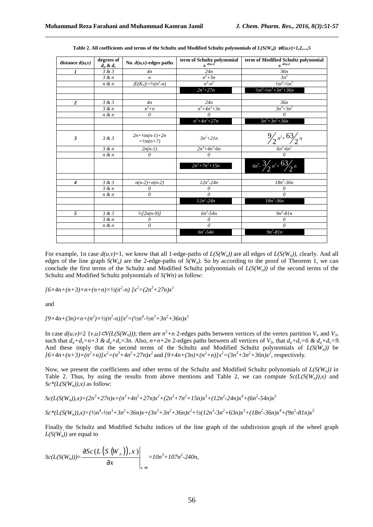| distance $d(u, v)$      | degrees of<br>$d_u \& d_v$ | No. $d(u, v)$ -edges paths                             | term of Schultz polynomial<br>$x^{d(u,v)}$ | term of Modified Schultz polynomial<br>$x^{d(u,v)}$ |
|-------------------------|----------------------------|--------------------------------------------------------|--------------------------------------------|-----------------------------------------------------|
| 1                       | 3 & 3                      | 4n                                                     | 24n                                        | 36 <sub>n</sub>                                     |
|                         | $\overline{3}$ & n         | $\boldsymbol{n}$                                       | $\frac{n^2+3n}{n^3-n^2}$                   | $3n^2$                                              |
|                         | n & n                      | $ E(K_n)  = \frac{1}{2(n^2-n)}$                        |                                            | $\frac{1}{2}n^4 - \frac{1}{2}n^3$                   |
|                         |                            |                                                        | $2n^3 + 27n$                               | $\frac{1}{2}n^4 - \frac{1}{2}n^3 + 3n^2 + 36n$      |
|                         |                            |                                                        |                                            |                                                     |
| $\overline{2}$          | 3 & 3                      | 4n                                                     | 24n                                        | 36n                                                 |
|                         | 3 & n                      | $n^2+n$                                                | $n^3 + 4n^2 + 3n$                          | $\frac{3n^3+3n^2}{n^2}$                             |
|                         | n & n                      | 0                                                      | 0                                          | $\theta$                                            |
|                         |                            |                                                        | $n^3 + 4n^2 + 27n$                         | $3n^3 + 3n^2 + 36n$                                 |
|                         |                            |                                                        |                                            |                                                     |
| $\overline{\mathbf{3}}$ | 3 & 3                      | $2n + \frac{1}{2n(n-1)} + 2n$<br>$= \frac{1}{2}n(n+7)$ | $3n^2 + 21n$                               | $\frac{9}{2}n^2+6\frac{3}{2}n$                      |
|                         | 3 & n                      | $2n(n-1)$                                              | $2n^3 + 4n^2 - 6n$                         | $6n^3 - 6n^2$                                       |
|                         | n & n                      | $\theta$                                               | $\theta$                                   | $\overline{\theta}$                                 |
|                         |                            |                                                        | $2n^3 + 7n^2 + 15n$                        | $6n^3$ - $3/2n^2+63/2n$                             |
|                         |                            |                                                        |                                            |                                                     |
| $\boldsymbol{4}$        | 3 & 3                      | $n(n-2)+n(n-2)$                                        | $12n^2 - 24n$                              | $18n^2 - 36n$                                       |
|                         | 3 & n                      | 0                                                      | 0                                          | 0                                                   |
|                         | n & n                      | 0                                                      | $\theta$                                   | $\theta$                                            |
|                         |                            |                                                        | $12n^2 - 24n$                              | $18n^2 - 36n$                                       |
|                         |                            |                                                        |                                            |                                                     |
| 5                       | 3 & 3                      | $\frac{1}{2}[2n(n-9)]$                                 | $6n^2 - 54n$                               | $9n^2-81n$                                          |
|                         | 3 & n                      | 0                                                      | 0                                          | $\theta$                                            |
|                         | n & n                      | $\theta$                                               | $\overline{0}$                             | $\theta$                                            |
|                         |                            |                                                        | $6n^2 - 54n$                               | $9n^2 - 81n$                                        |
|                         |                            |                                                        |                                            |                                                     |

**Table 2. All coefficients and terms of the Schultz and Modified Schultz polynomials of**  $L(S(W_n)) \not\!{v}d(u,v)=1,2,...,5$ 

\_\_\_\_\_\_\_\_\_\_\_\_\_\_\_\_\_\_\_\_\_\_\_\_\_\_\_\_\_\_\_\_\_\_\_\_\_\_\_\_\_\_\_\_\_\_\_\_\_\_\_\_\_\_\_\_\_\_\_\_\_\_\_\_\_\_\_\_\_\_\_\_\_\_\_\_\_\_

For example, 1n case  $d(u, v)=1$ , we know that all 1-edge-paths of  $L(S(W_n))$  are all edges of  $L(S(W_n))$ , clearly. And all edges of the line graph  $S(W_n)$  are the 2-edge-paths of  $S(W_n)$ . So by according to the proof of Theorem 1, we can conclude the first terms of the Schultz and Modified Schultz polynomials of *L(S(Wn))* of the second terms of the Schultz and Modified Schultz polynomials of *S(Wn)* as follow:

 $[(6 \times 4n + (n+3) \times n + (n+n) \times \frac{1}{2}(n^2-n)]x^2 = (2n^3 + 27n)x^1$ 

and

 $[9 \times 4n + (3n) \times n + (n^2) \times \frac{1}{2}(n^2-n)]x^2 = (\frac{1}{2}n^4 - \frac{1}{2}n^3 + 3n^2 + 36n)x^1$ 

In case  $d(u, v) = 2 \{v, u\} \subset V(L(S(W_n)))$ ; there are  $n^2 + n$  2-edges paths between vertices of the vertex partition  $V_n$  and  $V_3$ such that  $d_u + d_v = n + 3$  &  $d_u \times d_v = 3n$ . Also,  $n + n + 2n$  2-edges paths between all vertices of  $V_3$ , that  $d_u + d_v = 6$  &  $d_u \times d_v = 9$ . And these imply that the second terms of the Schultz and Modified Schultz polynomials of  $L(S(\tilde{W}_n))$  be  $[6 \times 4n + (n+3) \times (n^2+n)]x^2 = (n^3+4n^2+27n)x^2$  and  $[9 \times 4n+(3n) \times (n^2+n)]x^2 = (3n^3+3n^2+36n)x^2$ , respectively.

Now, we present the coefficients and other terms of the Schultz and Modified Schultz polynomials of *L(S(Wn))* in Table 2. Thus, by using the results from above mentions and Table 2, we can compute  $Sc(L(S(W_n)),x)$  and  $Sc^*(L(S(W_n)),x)$  as follow:

$$
Sc(L(S(W_n)),x)=(2n^3+27n)x+(n^3+4n^2+27n)x^2+(2n^3+7n^2+15n)x^3+(12n^2-24n)x^4+(6n^2-54n)x^5
$$

$$
Sc*(L(S(W_n)),x)=(1/2n^4-1/2n^3+3n^2+36n)x+(3n^3+3n^2+36n)x^2+1/2(12n^3-3n^2+63n)x^3+(18n^2-36n)x^4+(9n^2-81n)x^5
$$

Finally, the Schultz and Modified Schultz indices of the line graph of the subdivision graph of the wheel graph  $L(S(W_n))$  are equal to

$$
Sc(L(S(W_n))) = \frac{\partial Sc(L(S(W_n)), x)}{\partial x}\Bigg|_{x=1} = 10n^3 + 107n^2 - 240n,
$$